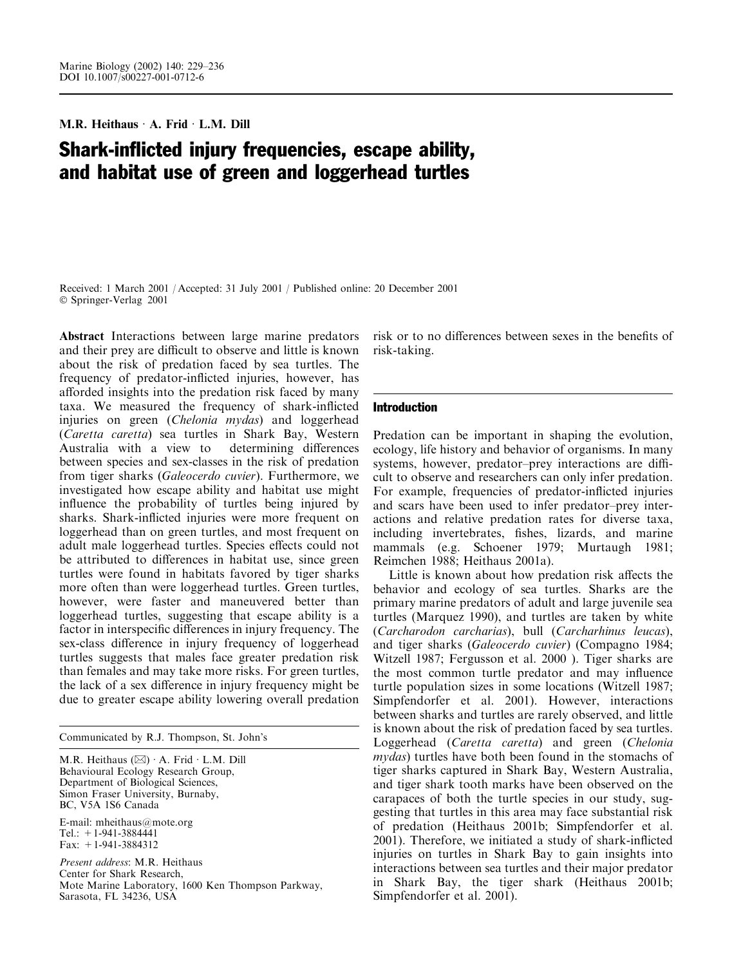M.R. Heithaus · A. Frid · L.M. Dill

# Shark-inflicted injury frequencies, escape ability, and habitat use of green and loggerhead turtles

Received: 1 March 2001 / Accepted: 31 July 2001 / Published online: 20 December 2001 Springer-Verlag 2001

Abstract Interactions between large marine predators and their prey are difficult to observe and little is known about the risk of predation faced by sea turtles. The frequency of predator-inflicted injuries, however, has afforded insights into the predation risk faced by many taxa. We measured the frequency of shark-inflicted injuries on green (Chelonia mydas) and loggerhead (Caretta caretta) sea turtles in Shark Bay, Western Australia with a view to determining differences between species and sex-classes in the risk of predation from tiger sharks (Galeocerdo cuvier). Furthermore, we investigated how escape ability and habitat use might influence the probability of turtles being injured by sharks. Shark-inflicted injuries were more frequent on loggerhead than on green turtles, and most frequent on adult male loggerhead turtles. Species effects could not be attributed to differences in habitat use, since green turtles were found in habitats favored by tiger sharks more often than were loggerhead turtles. Green turtles, however, were faster and maneuvered better than loggerhead turtles, suggesting that escape ability is a factor in interspecific differences in injury frequency. The sex-class difference in injury frequency of loggerhead turtles suggests that males face greater predation risk than females and may take more risks. For green turtles, the lack of a sex difference in injury frequency might be due to greater escape ability lowering overall predation

Communicated by R.J. Thompson, St. John's

M.R. Heithaus  $(\boxtimes) \cdot A$ . Frid  $\cdot$  L.M. Dill Behavioural Ecology Research Group, Department of Biological Sciences, Simon Fraser University, Burnaby, BC, V5A 1S6 Canada

E-mail: mheithaus@mote.org Tel.: +1-941-3884441 Fax: +1-941-3884312

Present address: M.R. Heithaus Center for Shark Research, Mote Marine Laboratory, 1600 Ken Thompson Parkway, Sarasota, FL 34236, USA

risk or to no differences between sexes in the benefits of risk-taking.

# Introduction

Predation can be important in shaping the evolution, ecology, life history and behavior of organisms. In many systems, however, predator–prey interactions are difficult to observe and researchers can only infer predation. For example, frequencies of predator-inflicted injuries and scars have been used to infer predator–prey interactions and relative predation rates for diverse taxa, including invertebrates, fishes, lizards, and marine mammals (e.g. Schoener 1979; Murtaugh 1981; Reimchen 1988; Heithaus 2001a).

Little is known about how predation risk affects the behavior and ecology of sea turtles. Sharks are the primary marine predators of adult and large juvenile sea turtles (Marquez 1990), and turtles are taken by white (Carcharodon carcharias), bull (Carcharhinus leucas), and tiger sharks (Galeocerdo cuvier) (Compagno 1984; Witzell 1987; Fergusson et al. 2000 ). Tiger sharks are the most common turtle predator and may influence turtle population sizes in some locations (Witzell 1987; Simpfendorfer et al. 2001). However, interactions between sharks and turtles are rarely observed, and little is known about the risk of predation faced by sea turtles. Loggerhead (Caretta caretta) and green (Chelonia mydas) turtles have both been found in the stomachs of tiger sharks captured in Shark Bay, Western Australia, and tiger shark tooth marks have been observed on the carapaces of both the turtle species in our study, suggesting that turtles in this area may face substantial risk of predation (Heithaus 2001b; Simpfendorfer et al. 2001). Therefore, we initiated a study of shark-inflicted injuries on turtles in Shark Bay to gain insights into interactions between sea turtles and their major predator in Shark Bay, the tiger shark (Heithaus 2001b; Simpfendorfer et al. 2001).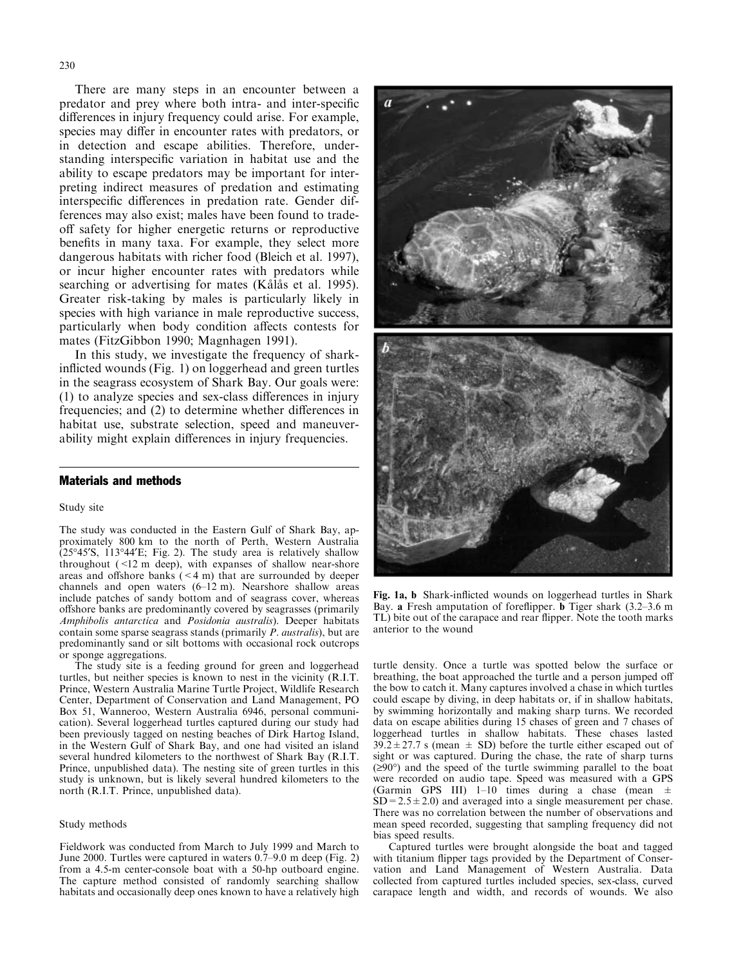There are many steps in an encounter between a predator and prey where both intra- and inter-specific differences in injury frequency could arise. For example, species may differ in encounter rates with predators, or in detection and escape abilities. Therefore, understanding interspecific variation in habitat use and the ability to escape predators may be important for interpreting indirect measures of predation and estimating interspecific differences in predation rate. Gender differences may also exist; males have been found to tradeoff safety for higher energetic returns or reproductive benefits in many taxa. For example, they select more dangerous habitats with richer food (Bleich et al. 1997), or incur higher encounter rates with predators while searching or advertising for mates (Kålås et al. 1995). Greater risk-taking by males is particularly likely in species with high variance in male reproductive success, particularly when body condition affects contests for mates (FitzGibbon 1990; Magnhagen 1991).

In this study, we investigate the frequency of sharkinflicted wounds (Fig. 1) on loggerhead and green turtles in the seagrass ecosystem of Shark Bay. Our goals were: (1) to analyze species and sex-class differences in injury frequencies; and (2) to determine whether differences in habitat use, substrate selection, speed and maneuverability might explain differences in injury frequencies.

## Materials and methods

#### Study site

The study was conducted in the Eastern Gulf of Shark Bay, approximately 800 km to the north of Perth, Western Australia  $(25^{\circ}45^{\prime}S, 113^{\circ}44^{\prime}E;$  Fig. 2). The study area is relatively shallow throughout (<12 m deep), with expanses of shallow near-shore areas and offshore banks  $(< 4 \text{ m})$  that are surrounded by deeper channels and open waters (6–12 m). Nearshore shallow areas include patches of sandy bottom and of seagrass cover, whereas offshore banks are predominantly covered by seagrasses (primarily Amphibolis antarctica and Posidonia australis). Deeper habitats contain some sparse seagrass stands (primarily P. australis), but are predominantly sand or silt bottoms with occasional rock outcrops or sponge aggregations.

The study site is a feeding ground for green and loggerhead turtles, but neither species is known to nest in the vicinity (R.I.T. Prince, Western Australia Marine Turtle Project, Wildlife Research Center, Department of Conservation and Land Management, PO Box 51, Wanneroo, Western Australia 6946, personal communication). Several loggerhead turtles captured during our study had been previously tagged on nesting beaches of Dirk Hartog Island, in the Western Gulf of Shark Bay, and one had visited an island several hundred kilometers to the northwest of Shark Bay (R.I.T. Prince, unpublished data). The nesting site of green turtles in this study is unknown, but is likely several hundred kilometers to the north (R.I.T. Prince, unpublished data).

#### Study methods

Fieldwork was conducted from March to July 1999 and March to June 2000. Turtles were captured in waters 0.7–9.0 m deep (Fig. 2) from a 4.5-m center-console boat with a 50-hp outboard engine. The capture method consisted of randomly searching shallow habitats and occasionally deep ones known to have a relatively high



Fig. 1a, b Shark-inflicted wounds on loggerhead turtles in Shark Bay. a Fresh amputation of foreflipper.  $\overline{b}$  Tiger shark (3.2–3.6 m TL) bite out of the carapace and rear flipper. Note the tooth marks anterior to the wound

turtle density. Once a turtle was spotted below the surface or breathing, the boat approached the turtle and a person jumped off the bow to catch it. Many captures involved a chase in which turtles could escape by diving, in deep habitats or, if in shallow habitats, by swimming horizontally and making sharp turns. We recorded data on escape abilities during15 chases of green and 7 chases of loggerhead turtles in shallow habitats. These chases lasted  $39.2 \pm 27.7$  s (mean  $\pm$  SD) before the turtle either escaped out of sight or was captured. During the chase, the rate of sharp turns  $(290^{\circ})$  and the speed of the turtle swimming parallel to the boat were recorded on audio tape. Speed was measured with a GPS (Garmin GPS III)  $1-10$  times during a chase (mean  $\pm$  $SD = 2.5 \pm 2.0$ ) and averaged into a single measurement per chase. There was no correlation between the number of observations and mean speed recorded, suggesting that sampling frequency did not bias speed results.

Captured turtles were brought alongside the boat and tagged with titanium flipper tags provided by the Department of Conservation and Land Management of Western Australia. Data collected from captured turtles included species, sex-class, curved carapace length and width, and records of wounds. We also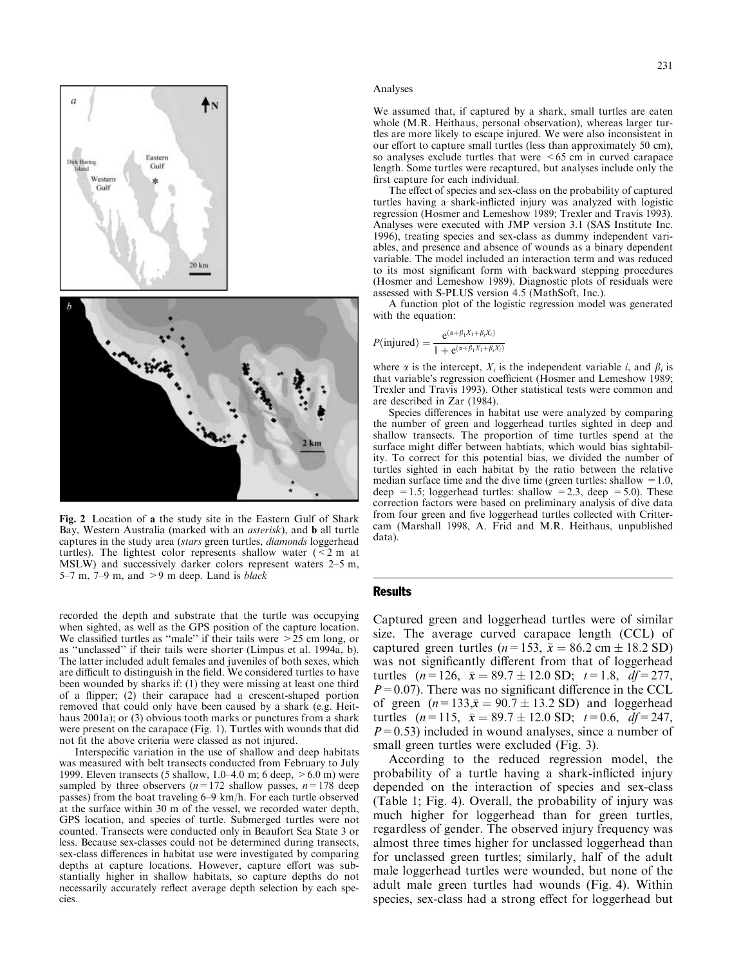

Fig. 2 Location of a the study site in the Eastern Gulf of Shark Bay, Western Australia (marked with an asterisk), and b all turtle captures in the study area (stars green turtles, diamonds loggerhead turtles). The lightest color represents shallow water  $\epsilon$  (<2 m at MSLW) and successively darker colors represent waters 2–5 m, 5–7 m, 7–9 m, and  $>9$  m deep. Land is *black* 

recorded the depth and substrate that the turtle was occupying when sighted, as well as the GPS position of the capture location. We classified turtles as "male" if their tails were  $>25$  cm long, or as ''unclassed'' if their tails were shorter (Limpus et al. 1994a, b). The latter included adult females and juveniles of both sexes, which are difficult to distinguish in the field. We considered turtles to have been wounded by sharks if: (1) they were missingat least one third of a flipper; (2) their carapace had a crescent-shaped portion removed that could only have been caused by a shark (e.g. Heithaus 2001a); or (3) obvious tooth marks or punctures from a shark were present on the carapace (Fig. 1). Turtles with wounds that did not fit the above criteria were classed as not injured.

Interspecific variation in the use of shallow and deep habitats was measured with belt transects conducted from February to July 1999. Eleven transects (5 shallow, 1.0–4.0 m; 6 deep, >6.0 m) were sampled by three observers ( $n=172$  shallow passes,  $n=178$  deep passes) from the boat traveling  $6-9 \text{ km/h}$ . For each turtle observed at the surface within 30 m of the vessel, we recorded water depth, GPS location, and species of turtle. Submerged turtles were not counted. Transects were conducted only in Beaufort Sea State 3 or less. Because sex-classes could not be determined during transects, sex-class differences in habitat use were investigated by comparing depths at capture locations. However, capture effort was substantially higher in shallow habitats, so capture depths do not necessarily accurately reflect average depth selection by each species.

#### Analyses

We assumed that, if captured by a shark, small turtles are eaten whole (M.R. Heithaus, personal observation), whereas larger turtles are more likely to escape injured. We were also inconsistent in our effort to capture small turtles (less than approximately 50 cm), so analyses exclude turtles that were <65 cm in curved carapace length. Some turtles were recaptured, but analyses include only the first capture for each individual.

The effect of species and sex-class on the probability of captured turtles having a shark-inflicted injury was analyzed with logistic regression (Hosmer and Lemeshow 1989; Trexler and Travis 1993). Analyses were executed with JMP version 3.1 (SAS Institute Inc. 1996), treating species and sex-class as dummy independent variables, and presence and absence of wounds as a binary dependent variable. The model included an interaction term and was reduced to its most significant form with backward stepping procedures (Hosmer and Lemeshow 1989). Diagnostic plots of residuals were assessed with S-PLUS version 4.5 (MathSoft, Inc.).

A function plot of the logistic regression model was generated with the equation:

$$
P(\text{injured}) = \frac{e^{(\alpha + \beta_1 X_1 + \beta_i X_i)}}{1 + e^{(\alpha + \beta_1 X_1 + \beta_i X_i)}}
$$

where  $\alpha$  is the intercept,  $X_i$  is the independent variable i, and  $\beta_i$  is that variable's regression coefficient (Hosmer and Lemeshow 1989; Trexler and Travis 1993). Other statistical tests were common and are described in Zar (1984).

Species differences in habitat use were analyzed by comparing the number of green and loggerhead turtles sighted in deep and shallow transects. The proportion of time turtles spend at the surface might differ between habtiats, which would bias sightability. To correct for this potential bias, we divided the number of turtles sighted in each habitat by the ratio between the relative median surface time and the dive time (green turtles: shallow  $=1.0$ , deep =1.5; loggerhead turtles: shallow =2.3, deep =5.0). These correction factors were based on preliminary analysis of dive data from four green and five loggerhead turtles collected with Crittercam (Marshall 1998, A. Frid and M.R. Heithaus, unpublished data).

#### **Results**

Captured green and loggerhead turtles were of similar size. The average curved carapace length (CCL) of captured green turtles ( $n=153$ ,  $\bar{x} = 86.2$  cm  $\pm 18.2$  SD) was not significantly different from that of loggerhead turtles  $(n=126, \bar{x}=89.7 \pm 12.0 \text{ SD}; t=1.8, df=277,$  $P=0.07$ ). There was no significant difference in the CCL of green  $(n=133,\bar{x}=90.7\pm13.2$  SD) and loggerhead turtles  $(n=115, \bar{x}=89.7\pm12.0$  SD;  $t=0.6, df=247$ ,  $P=0.53$ ) included in wound analyses, since a number of small green turtles were excluded (Fig. 3).

According to the reduced regression model, the probability of a turtle having a shark-inflicted injury depended on the interaction of species and sex-class (Table 1; Fig. 4). Overall, the probability of injury was much higher for loggerhead than for green turtles, regardless of gender. The observed injury frequency was almost three times higher for unclassed loggerhead than for unclassed green turtles; similarly, half of the adult male loggerhead turtles were wounded, but none of the adult male green turtles had wounds (Fig. 4). Within species, sex-class had a strong effect for loggerhead but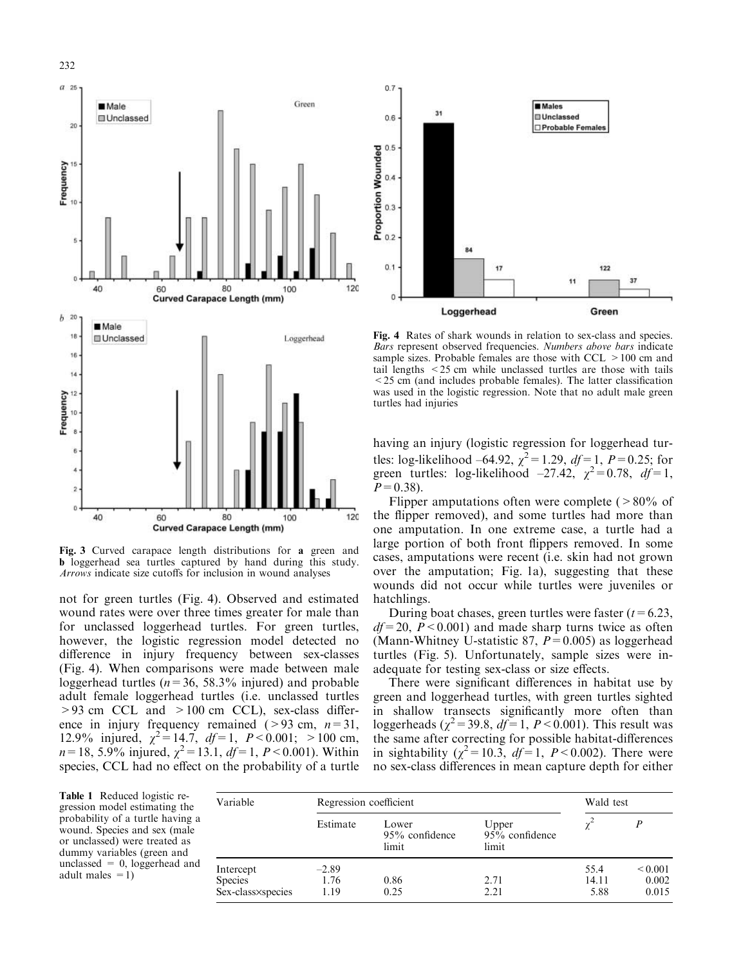

Fig. 3 Curved carapace length distributions for a green and b loggerhead sea turtles captured by hand during this study. Arrows indicate size cutoffs for inclusion in wound analyses

not for green turtles (Fig. 4). Observed and estimated wound rates were over three times greater for male than for unclassed loggerhead turtles. For green turtles, however, the logistic regression model detected no difference in injury frequency between sex-classes (Fig. 4). When comparisons were made between male loggerhead turtles ( $n=36$ , 58.3% injured) and probable adult female loggerhead turtles (i.e. unclassed turtles  $>93$  cm CCL and  $>100$  cm CCL), sex-class difference in injury frequency remained ( $> 93$  cm,  $n = 31$ , 12.9% injured,  $\chi^2 = 14.7$ ,  $df = 1$ ,  $P < 0.001$ ; > 100 cm,  $n=18$ , 5.9% injured,  $\chi^2 = 13.1$ ,  $df=1$ ,  $P < 0.001$ ). Within species, CCL had no effect on the probability of a turtle

 $0.7 -$ **Males**  $31$ **Unclassed**  $0.6$ □ Probable Femal 84  $0.1$  $122$  $17$  $11$ 37  $\overline{0}$ Loggerhead Green

Fig. 4 Rates of shark wounds in relation to sex-class and species. Bars represent observed frequencies. Numbers above bars indicate sample sizes. Probable females are those with CCL  $>100$  cm and tail lengths <25 cm while unclassed turtles are those with tails <25 cm (and includes probable females). The latter classification was used in the logistic regression. Note that no adult male green turtles had injuries

having an injury (logistic regression for loggerhead turtles: log-likelihood –64.92,  $\chi^2 = 1.29$ ,  $df = 1$ ,  $P = 0.25$ ; for green turtles: log-likelihood –27.42,  $\chi^2 = 0.78$ ,  $df = 1$ ,  $P=0.38$ ).

Flipper amputations often were complete ( $>80\%$  of the flipper removed), and some turtles had more than one amputation. In one extreme case, a turtle had a large portion of both front flippers removed. In some cases, amputations were recent (i.e. skin had not grown over the amputation; Fig. 1a), suggesting that these wounds did not occur while turtles were juveniles or hatchlings.

During boat chases, green turtles were faster ( $t=6.23$ ,  $df=20$ ,  $P<0.001$ ) and made sharp turns twice as often (Mann-Whitney U-statistic 87,  $P = 0.005$ ) as loggerhead turtles (Fig. 5). Unfortunately, sample sizes were inadequate for testing sex-class or size effects.

There were significant differences in habitat use by green and loggerhead turtles, with green turtles sighted in shallow transects significantly more often than loggerheads ( $\chi^2$  = 39.8,  $df = 1$ ,  $P < 0.001$ ). This result was the same after correcting for possible habitat-differences in sightability ( $\chi^2 = 10.3$ ,  $df = 1$ ,  $P < 0.002$ ). There were no sex-class differences in mean capture depth for either

Table 1 Reduced logistic regression model estimating the probability of a turtle having a wound. Species and sex (male or unclassed) were treated as dummy variables (green and unclassed  $= 0$ , loggerhead and adult males  $=1$ )

| Variable                                         | Regression coefficient  |                                  |                                  | Wald test             |                                |
|--------------------------------------------------|-------------------------|----------------------------------|----------------------------------|-----------------------|--------------------------------|
|                                                  | Estimate                | Lower<br>95% confidence<br>limit | Upper<br>95% confidence<br>limit |                       |                                |
| Intercept<br><b>Species</b><br>Sex-class×species | $-2.89$<br>1.76<br>1.19 | 0.86<br>0.25                     | 2.71<br>2.21                     | 55.4<br>14.11<br>5.88 | ${}_{0.001}$<br>0.002<br>0.015 |

232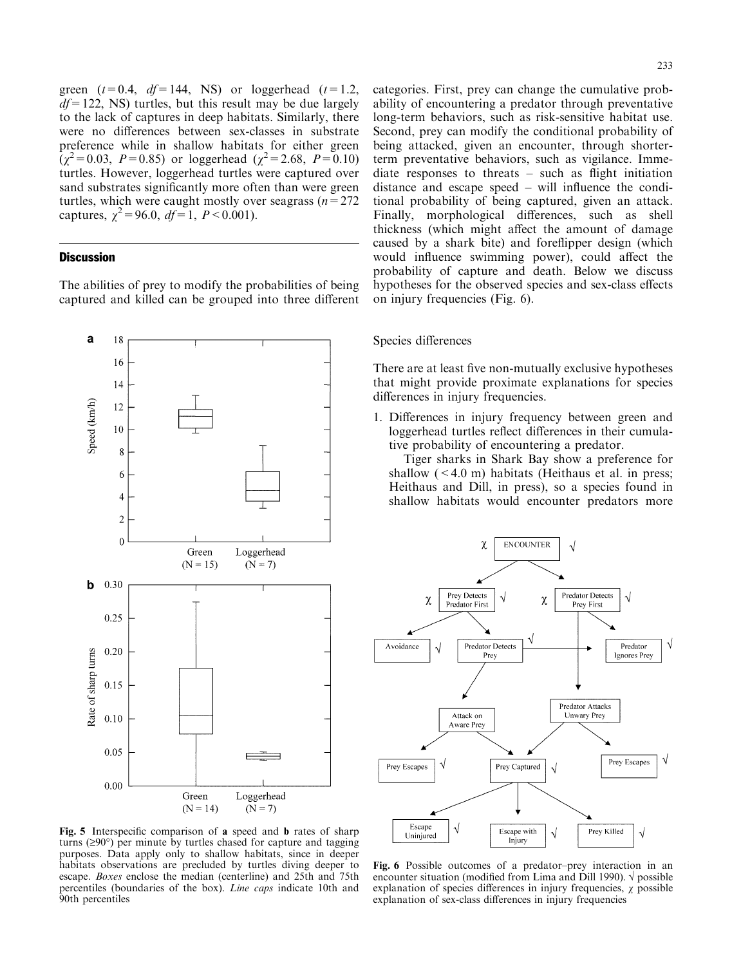green  $(t=0.4, df=144, NS)$  or loggerhead  $(t=1.2,$  $df=122$ , NS) turtles, but this result may be due largely to the lack of captures in deep habitats. Similarly, there were no differences between sex-classes in substrate preference while in shallow habitats for either green  $(\chi^2 = 0.03, P = 0.85)$  or loggerhead  $(\chi^2 = 2.68, P = 0.10)$ turtles. However, loggerhead turtles were captured over sand substrates significantly more often than were green turtles, which were caught mostly over seagrass  $(n=272)$ captures,  $\chi^2$  = 96.0,  $df$  = 1,  $P$  < 0.001).

## **Discussion**

The abilities of prey to modify the probabilities of being captured and killed can be grouped into three different



Fig. 5 Interspecific comparison of a speed and b rates of sharp turns  $(290^{\circ})$  per minute by turtles chased for capture and tagging purposes. Data apply only to shallow habitats, since in deeper habitats observations are precluded by turtles diving deeper to escape. Boxes enclose the median (centerline) and 25th and 75th percentiles (boundaries of the box). Line caps indicate 10th and 90th percentiles

categories. First, prey can change the cumulative probability of encountering a predator through preventative long-term behaviors, such as risk-sensitive habitat use. Second, prey can modify the conditional probability of being attacked, given an encounter, through shorterterm preventative behaviors, such as vigilance. Immediate responses to threats  $-$  such as flight initiation distance and escape speed – will influence the conditional probability of being captured, given an attack. Finally, morphological differences, such as shell thickness (which might affect the amount of damage caused by a shark bite) and foreflipper design (which would influence swimming power), could affect the probability of capture and death. Below we discuss hypotheses for the observed species and sex-class effects on injury frequencies (Fig. 6).

## Species differences

There are at least five non-mutually exclusive hypotheses that might provide proximate explanations for species differences in injury frequencies.

1. Differences in injury frequency between green and loggerhead turtles reflect differences in their cumulative probability of encountering a predator.

Tiger sharks in Shark Bay show a preference for shallow  $( $4.0 \text{ m}$ )$  habitats (Heithaus et al. in press; Heithaus and Dill, in press), so a species found in shallow habitats would encounter predators more



Fig. 6 Possible outcomes of a predator–prey interaction in an encounter situation (modified from Lima and Dill 1990).  $\sqrt{\text{possible}}$ explanation of species differences in injury frequencies,  $\chi$  possible explanation of sex-class differences in injury frequencies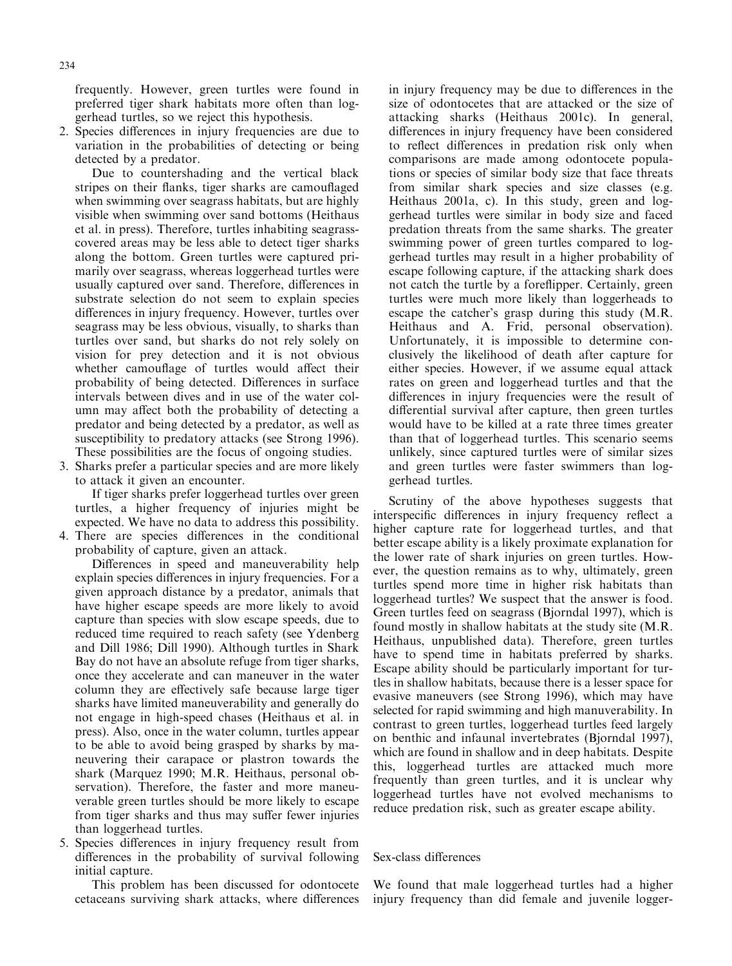frequently. However, green turtles were found in preferred tiger shark habitats more often than loggerhead turtles, so we reject this hypothesis.

2. Species differences in injury frequencies are due to variation in the probabilities of detecting or being detected by a predator.

Due to countershading and the vertical black stripes on their flanks, tiger sharks are camouflaged when swimming over seagrass habitats, but are highly visible when swimming over sand bottoms (Heithaus et al. in press). Therefore, turtles inhabiting seagrasscovered areas may be less able to detect tiger sharks along the bottom. Green turtles were captured primarily over seagrass, whereas loggerhead turtles were usually captured over sand. Therefore, differences in substrate selection do not seem to explain species differences in injury frequency. However, turtles over seagrass may be less obvious, visually, to sharks than turtles over sand, but sharks do not rely solely on vision for prey detection and it is not obvious whether camouflage of turtles would affect their probability of being detected. Differences in surface intervals between dives and in use of the water column may affect both the probability of detecting a predator and being detected by a predator, as well as susceptibility to predatory attacks (see Strong 1996). These possibilities are the focus of ongoing studies.

3. Sharks prefer a particular species and are more likely to attack it given an encounter.

If tiger sharks prefer loggerhead turtles over green turtles, a higher frequency of injuries might be expected. We have no data to address this possibility.

4. There are species differences in the conditional probability of capture, given an attack.

Differences in speed and maneuverability help explain species differences in injury frequencies. For a given approach distance by a predator, animals that have higher escape speeds are more likely to avoid capture than species with slow escape speeds, due to reduced time required to reach safety (see Ydenberg and Dill 1986; Dill 1990). Although turtles in Shark Bay do not have an absolute refuge from tiger sharks, once they accelerate and can maneuver in the water column they are effectively safe because large tiger sharks have limited maneuverability and generally do not engage in high-speed chases (Heithaus et al. in press). Also, once in the water column, turtles appear to be able to avoid being grasped by sharks by maneuvering their carapace or plastron towards the shark (Marquez 1990; M.R. Heithaus, personal observation). Therefore, the faster and more maneuverable green turtles should be more likely to escape from tiger sharks and thus may suffer fewer injuries than loggerhead turtles.

5. Species differences in injury frequency result from differences in the probability of survival following initial capture.

This problem has been discussed for odontocete cetaceans surviving shark attacks, where differences in injury frequency may be due to differences in the size of odontocetes that are attacked or the size of attacking sharks (Heithaus 2001c). In general, differences in injury frequency have been considered to reflect differences in predation risk only when comparisons are made among odontocete populations or species of similar body size that face threats from similar shark species and size classes (e.g. Heithaus 2001a, c). In this study, green and loggerhead turtles were similar in body size and faced predation threats from the same sharks. The greater swimming power of green turtles compared to loggerhead turtles may result in a higher probability of escape following capture, if the attacking shark does not catch the turtle by a foreflipper. Certainly, green turtles were much more likely than loggerheads to escape the catcher's grasp during this study (M.R. Heithaus and A. Frid, personal observation). Unfortunately, it is impossible to determine conclusively the likelihood of death after capture for either species. However, if we assume equal attack rates on green and loggerhead turtles and that the differences in injury frequencies were the result of differential survival after capture, then green turtles would have to be killed at a rate three times greater than that of loggerhead turtles. This scenario seems unlikely, since captured turtles were of similar sizes and green turtles were faster swimmers than loggerhead turtles.

Scrutiny of the above hypotheses suggests that interspecific differences in injury frequency reflect a higher capture rate for loggerhead turtles, and that better escape ability is a likely proximate explanation for the lower rate of shark injuries on green turtles. However, the question remains as to why, ultimately, green turtles spend more time in higher risk habitats than loggerhead turtles? We suspect that the answer is food. Green turtles feed on seagrass (Bjorndal 1997), which is found mostly in shallow habitats at the study site (M.R. Heithaus, unpublished data). Therefore, green turtles have to spend time in habitats preferred by sharks. Escape ability should be particularly important for turtles in shallow habitats, because there is a lesser space for evasive maneuvers (see Strong 1996), which may have selected for rapid swimming and high manuverability. In contrast to green turtles, loggerhead turtles feed largely on benthic and infaunal invertebrates (Bjorndal 1997), which are found in shallow and in deep habitats. Despite this, loggerhead turtles are attacked much more frequently than green turtles, and it is unclear why loggerhead turtles have not evolved mechanisms to reduce predation risk, such as greater escape ability.

## Sex-class differences

We found that male loggerhead turtles had a higher injury frequency than did female and juvenile logger-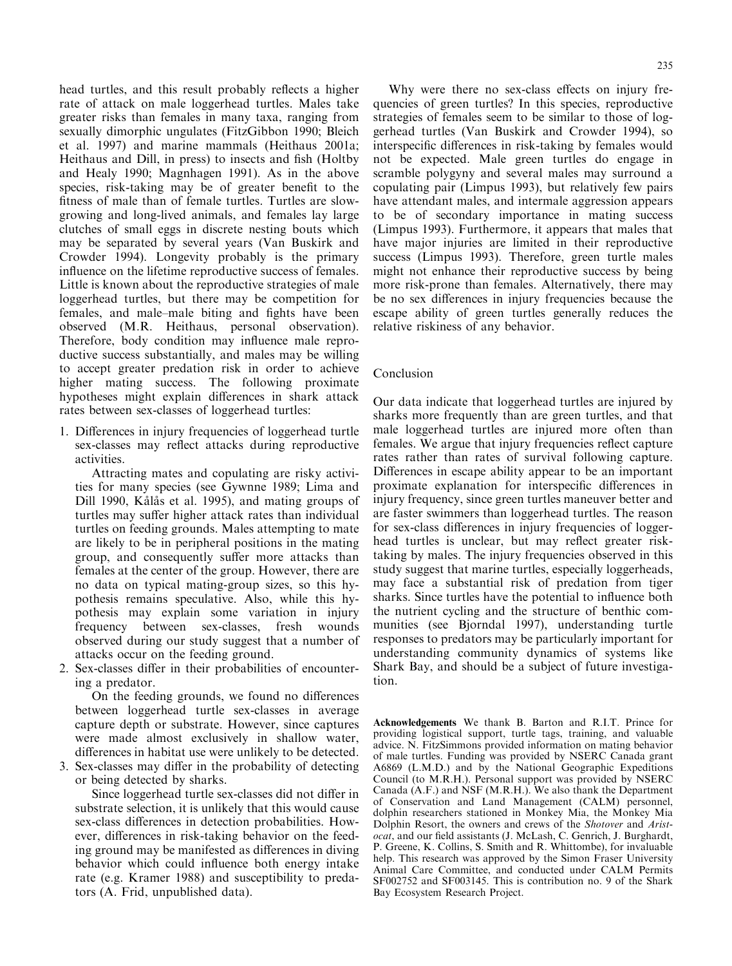head turtles, and this result probably reflects a higher rate of attack on male loggerhead turtles. Males take greater risks than females in many taxa, ranging from sexually dimorphic ungulates (FitzGibbon 1990; Bleich et al. 1997) and marine mammals (Heithaus 2001a; Heithaus and Dill, in press) to insects and fish (Holtby and Healy 1990; Magnhagen 1991). As in the above species, risk-taking may be of greater benefit to the fitness of male than of female turtles. Turtles are slowgrowing and long-lived animals, and females lay large clutches of small eggs in discrete nesting bouts which may be separated by several years (Van Buskirk and Crowder 1994). Longevity probably is the primary influence on the lifetime reproductive success of females. Little is known about the reproductive strategies of male loggerhead turtles, but there may be competition for females, and male–male biting and fights have been observed (M.R. Heithaus, personal observation). Therefore, body condition may influence male reproductive success substantially, and males may be willing to accept greater predation risk in order to achieve higher mating success. The following proximate hypotheses might explain differences in shark attack rates between sex-classes of loggerhead turtles:

1. Differences in injury frequencies of loggerhead turtle sex-classes may reflect attacks during reproductive activities.

Attracting mates and copulating are risky activities for many species (see Gywnne 1989; Lima and Dill 1990, Kålås et al. 1995), and mating groups of turtles may suffer higher attack rates than individual turtles on feeding grounds. Males attempting to mate are likely to be in peripheral positions in the mating group, and consequently suffer more attacks than females at the center of the group. However, there are no data on typical mating-group sizes, so this hypothesis remains speculative. Also, while this hypothesis may explain some variation in injury frequency between sex-classes, fresh wounds observed during our study suggest that a number of attacks occur on the feeding ground.

2. Sex-classes differ in their probabilities of encounteringa predator.

On the feeding grounds, we found no differences between loggerhead turtle sex-classes in average capture depth or substrate. However, since captures were made almost exclusively in shallow water, differences in habitat use were unlikely to be detected.

3. Sex-classes may differ in the probability of detecting or being detected by sharks.

Since loggerhead turtle sex-classes did not differ in substrate selection, it is unlikely that this would cause sex-class differences in detection probabilities. However, differences in risk-taking behavior on the feeding ground may be manifested as differences in diving behavior which could influence both energy intake rate (e.g. Kramer 1988) and susceptibility to predators (A. Frid, unpublished data).

Why were there no sex-class effects on injury frequencies of green turtles? In this species, reproductive strategies of females seem to be similar to those of loggerhead turtles (Van Buskirk and Crowder 1994), so interspecific differences in risk-taking by females would not be expected. Male green turtles do engage in scramble polygyny and several males may surround a copulating pair (Limpus 1993), but relatively few pairs have attendant males, and intermale aggression appears to be of secondary importance in mating success (Limpus 1993). Furthermore, it appears that males that have major injuries are limited in their reproductive success (Limpus 1993). Therefore, green turtle males might not enhance their reproductive success by being more risk-prone than females. Alternatively, there may be no sex differences in injury frequencies because the escape ability of green turtles generally reduces the relative riskiness of any behavior.

# Conclusion

Our data indicate that loggerhead turtles are injured by sharks more frequently than are green turtles, and that male loggerhead turtles are injured more often than females. We argue that injury frequencies reflect capture rates rather than rates of survival following capture. Differences in escape ability appear to be an important proximate explanation for interspecific differences in injury frequency, since green turtles maneuver better and are faster swimmers than loggerhead turtles. The reason for sex-class differences in injury frequencies of loggerhead turtles is unclear, but may reflect greater risktaking by males. The injury frequencies observed in this study suggest that marine turtles, especially loggerheads, may face a substantial risk of predation from tiger sharks. Since turtles have the potential to influence both the nutrient cycling and the structure of benthic communities (see Bjorndal 1997), understanding turtle responses to predators may be particularly important for understanding community dynamics of systems like Shark Bay, and should be a subject of future investigation.

Acknowledgements We thank B. Barton and R.I.T. Prince for providing logistical support, turtle tags, training, and valuable advice. N. FitzSimmons provided information on mating behavior of male turtles. Funding was provided by NSERC Canada grant A6869 (L.M.D.) and by the National Geographic Expeditions Council (to M.R.H.). Personal support was provided by NSERC Canada (A.F.) and NSF (M.R.H.). We also thank the Department of Conservation and Land Management (CALM) personnel, dolphin researchers stationed in Monkey Mia, the Monkey Mia Dolphin Resort, the owners and crews of the *Shotover* and *Arist*ocat, and our field assistants (J. McLash, C. Genrich, J. Burghardt, P. Greene, K. Collins, S. Smith and R. Whittombe), for invaluable help. This research was approved by the Simon Fraser University Animal Care Committee, and conducted under CALM Permits SF002752 and SF003145. This is contribution no. 9 of the Shark Bay Ecosystem Research Project.